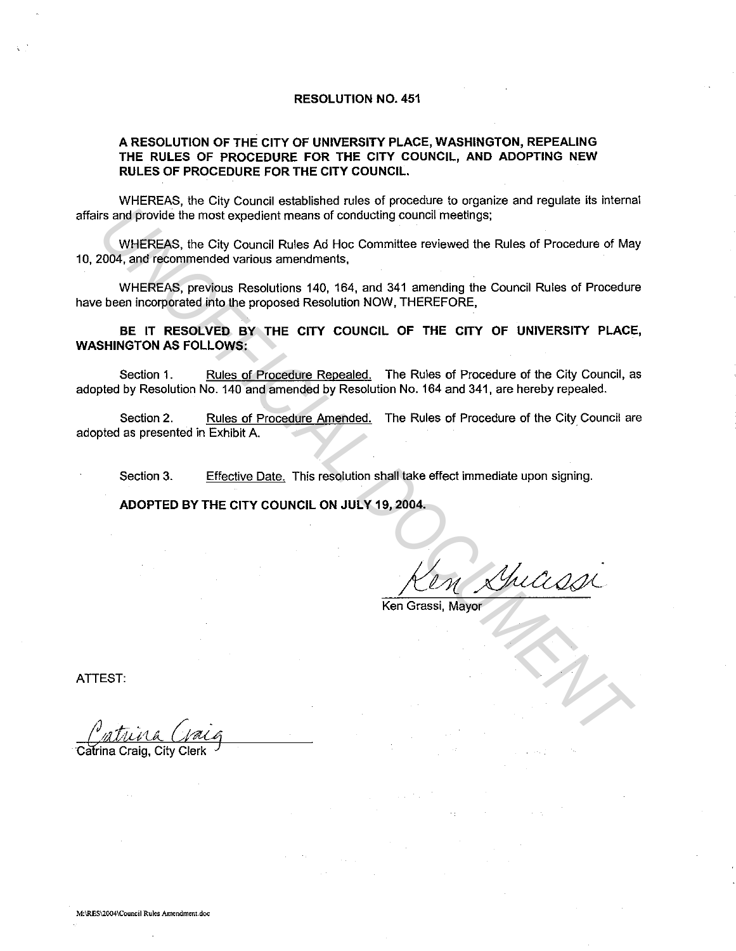#### **RESOLUTION NO. 451**

## **A RESOLUTION OF THE CITY OF UNIVERSITY PLACE, WASHINGTON, REPEALING THE RULES OF PROCEDURE FOR THE CITY COUNCIL, AND ADOPTING NEW RULES OF PROCEDURE FOR THE CITY COUNCIL.**

WHEREAS, the City Council established rules of procedure to organize and regulate its internal affairs and provide the most expedient means of conducting council meetings;

WHEREAS, the City Council Rules Ad Hoc Committee reviewed the Rules of Procedure of May 10, 2004, and recommended various amendments, Its and provide the most expedient means of conducting council meetings;<br>
WHEREAS, the City Council Rules Ad Hoc Committee reviewed the Rules of Procedure of Ma<br>
2004, and fectommented variable sense<br>
UNAFREAS, providues a

WHEREAS, previous Resolutions 140, 164, and 341 amending the Council Rules of Procedure have been incorporated into the proposed Resolution NOW. THEREFORE,

**BE IT RESOLVED BY THE CITY COUNCIL OF THE CITY OF UNIVERSITY PLACE, WASHINGTON AS FOLLOWS:** 

Section 1. Rules of Procedure Repealed. The Rules of Procedure of the City Council, as adopted by Resolution No. 140 and amended by Resolution No. 164 and 341, are hereby repealed.

Section 2. Rules of Procedure Amended. The Rules of Procedure of the City Council are adopted as presented in Exhibit A.

Section 3. Effective Date. This resolution shall take effect immediate upon signing.

**ADOPTED BY THE CITY COUNCIL ON JULY 19, 2004.** 

Ken Grassi, Mayor

ATTEST:

<u>Catrina Gaig</u>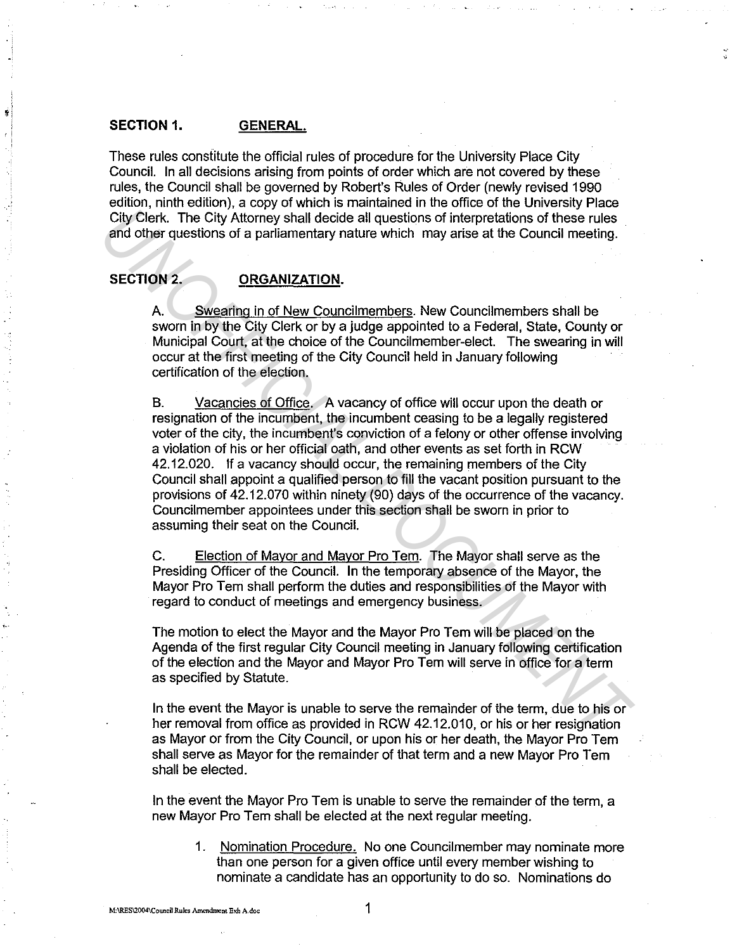# **SECTION 1. GENERAL.**

These rules constitute the official rules of procedure for the University Place City Council. In all decisions arising from points of order which are not covered by these rules, the Council shall be governed by Robert's Rules of Order (newly revised 1990 edition, ninth edition), a copy of which is maintained in the office of the University Place City Clerk. The City Attorney shall decide all questions of interpretations of these rules and other questions of a parliamentary nature which may arise at the Council meeting.

# SECTION 2. **ORGANIZATION.**

A. Swearing in of New Councilmembers. New Councilmembers shall be sworn in by the City Clerk or by a judge appointed to a Federal, State, County or Municipal Court, at the choice of the Councilmember-elect. The swearing in will occur at the first meeting of the City Council held in January following certification of the election.

B. Vacancies of Office. A vacancy of office will occur upon the death or resignation of the incumbent, the incumbent ceasing to be a legally registered voter of the city, the incumbent's conviction of a felony or other offense involving a violation of his or her official oath, and other events as set forth in RCW 42.12.020. If a vacancy should occur, the remaining members of the City Council shall appoint a qualified person to fill the vacant position pursuant to the provisions of 42.12.070 within ninety (90) days of the occurrence of the vacancy. Councilmember appointees under this section shall be sworn in prior to assuming their seat on the Council. City Clerk. The City Attorney shall decide all questions of interpretations of these rules<br>and other questions of a parliamentary nature which may arise at the Council meeting.<br> **SECTION 2.** ORGANIZATION.<br>
A. Swegring in o

C. Election of Mayor and Mayor Pro Tern. The Mayor shall serve as the Presiding Officer of the Council. In the temporary absence of the Mayor, the Mayor Pro Tern shall perform the duties and responsibilities of the Mayor with regard to conduct of meetings and emergency business.

The motion to elect the Mayor and the Mayor Pro Tern will be placed on the Agenda of the first regular City Council meeting in January following certification of the election and the Mayor and Mayor Pro Tern will serve in office for a term as specified by Statute.

In the event the Mayor is unable to serve the remainder of the term, due to his or her removal from office as provided in RCW 42.12.010, or his or her resignation as Mayor or from the City Council, or upon his or her death, the Mayor Pro Tern shall serve as Mayor for the remainder of that term and a new Mayor Pro Tern shall be elected.

In the event the Mayor Pro Tem is unable to serve the remainder of the term, a new Mayor Pro Tern shall be elected at the next regular meeting.

1. Nomination Procedure. No one Councilmember may nominate more than one person for a given office until every member wishing to nominate a candidate has an opportunity to do so. Nominations do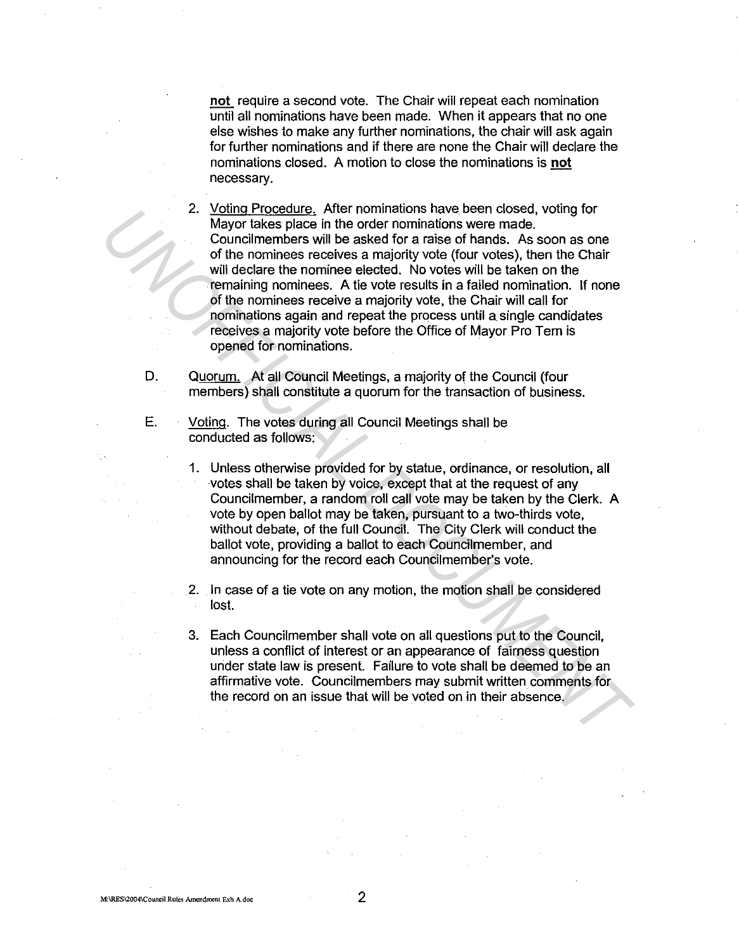not require a second vote. The Chair will repeat each nomination until all nominations have been made. When it appears that no one else wishes to make any further nominations, the chair will ask again for further nominations and if there are none the Chair will declare the nominations closed. A motion to close the nominations is not necessary.

2. Voting Procedure. After nominations have been closed, voting for Mayor takes place in the order nominations were made. Councilmembers will be asked for a raise of hands. As soon as one of the nominees receives a majority vote (four votes), then the Chair will declare the nominee elected. No votes will be taken on the remaining nominees. A tie vote results in a failed nomination. If none of the nominees receive a majority vote, the Chair will call for nominations again and repeat the process until a single candidates receives a majority vote before the Office of Mayor Pro Tem is opened for nominations. From the means of consideration and the mean of consideration and the mean of the numinest succeives a majority vote (four votes), then the Chiar will declare the nomines receives a majority vote (four votes), then the Chi

D. Quorum. At all Council Meetings, a majority of the Council (four members) shall constitute a quorum for the transaction of business.

- E. Voting. The votes during all Council Meetings shall be conducted as follows:
	- 1. Unless otherwise provided for by statue, ordinance, or resolution, all votes shall be taken by voice, except that at the request of any Councilmember, a random roll call vote may be taken by the Clerk. A vote by open ballot may be taken, pursuant to a two-thirds vote, without debate, of the full Council. The City Clerk will conduct the ballot vote, providing a ballot to each Councilmember, and announcing for the record each Councilmember's vote.

2. In case of a tie vote on any motion, the motion shall be considered lost.

3. Each Councilmember shall vote on all questions put to the Council, unless a conflict of interest or an appearance of fairness question under state law is present. Failure to vote shall be deemed to be an affirmative vote. Councilmembers may submit written comments for the record on an issue that will be voted on in their absence.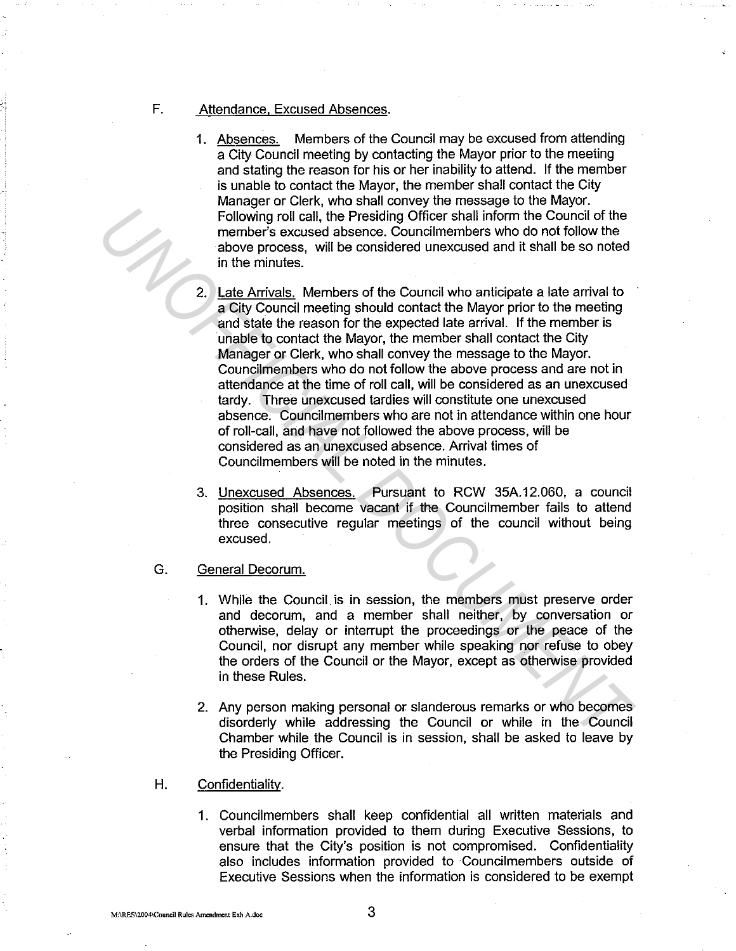#### F. Attendance. Excused Absences.

- 1. Absences. Members of the Council may be excused from attending a City Council meeting by contacting the Mayor prior to the meeting and stating the reason for his or her inability to attend. If the member is unable to contact the Mayor, the member shall contact the City Manager or Clerk, who shall convey the message to the Mayor. Following roll call, the Presiding Officer shall inform the Council of the member's excused absence. Councilmembers who do not follow the above process, will be considered unexcused and it shall be so noted in the minutes.
- 2. Late Arrivals. Members of the Council who anticipate a late arrival to a City Council meeting should contact the Mayor prior to the meeting and state the reason for the expected late arrival. If the member is unable to contact the Mayor, the member shall contact the City Manager or Clerk, who shall convey the message to the Mayor. Councilmembers who do not follow the above process and are not in attendance at the time of roll call, will be considered as an unexcused tardy. Three unexcused tardies will constitute one unexcused absence. Councilmembers who are not in attendance within one hour of roll-call, and have not followed the above process, will be considered as an unexcused absence. Arrival times of Councilmembers will be noted in the minutes. Following roll call, the Presiding Officer shall inform the Council of the<br>
member's excused absence. Council members who do not follow its<br>
abtow process, will be considered unexcused and it shall be so noted<br>
in the minu
	- 3. Unexcused Absences. Pursuant to RCW 35A.12.060, a council position shall become vacant if the Councilmember fails to attend three consecutive regular meetings of the council without being excused.
	- G. General Decorum.
		- 1. While the Council is in session, the members must preserve order and decorum, and a member shall neither, by conversation or otherwise, delay or interrupt the proceedings or the peace of the Council, nor disrupt any member while speaking nor refuse to obey the orders of the Council or the Mayor, except as otherwise provided in these Rules.
		- 2. Any person making personal or slanderous remarks or who becomes disorderly while addressing the Council or while in the Council Chamber while the Council is in session, shall be asked to leave by the Presiding Officer.
	- H. Confidentiality.
		- 1. Councilmembers shall keep confidential all written materials and verbal information provided to them during Executive Sessions, to ensure that the City's position is not compromised. Confidentiality also includes information provided to Councilmembers outside of Executive Sessions when the information is considered to be exempt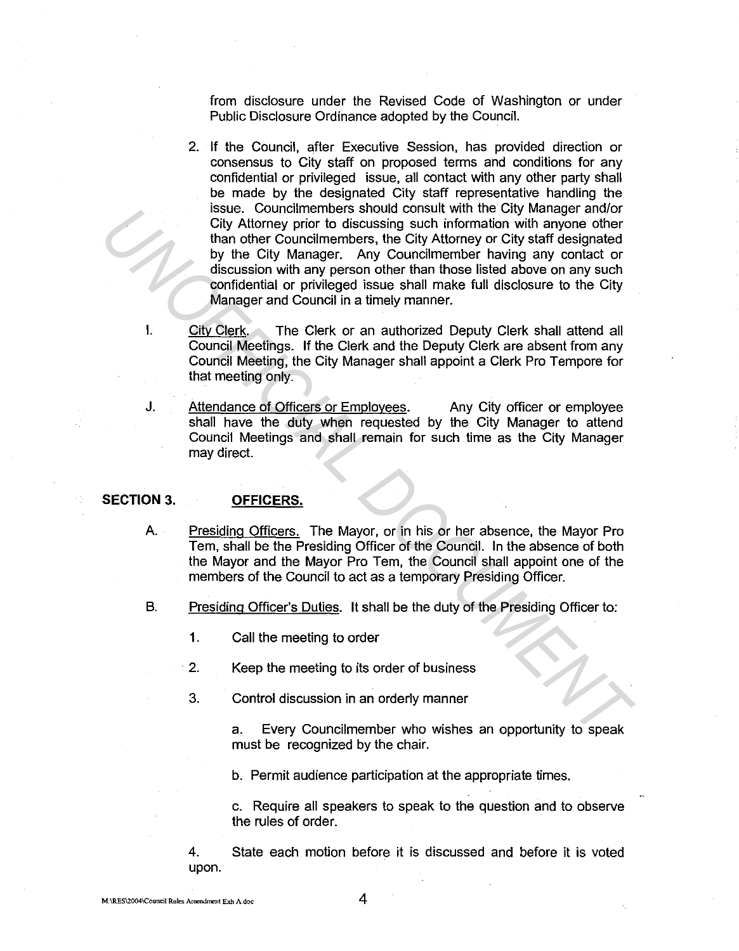from disclosure under the Revised Code of Washington or under Public Disclosure Ordinance adopted by the Council.

- 2. If the Council, after Executive Session, has provided direction or consensus to City staff on proposed terms and conditions for any confidential or privileged issue, all contact with any other party shall be made by the designated City staff representative handling the issue. Councilmembers should consult with the City Manager and/or City Attorney prior to discussing such information with anyone other than other Councilmembers, the City Attorney or City staff designated by the City Manager. Any Councilmember having any contact or discussion with any person other than those listed above on any such confidential or privileged issue shall make full disclosure to the City Manager and Council in a timely manner. **USING Contribution School consult with net city Manager and or the same of thy the City Attomey prior to discussing such information with any nee other by the City Manager. Any Councilmember having any contact or discussi** 
	- I. City Clerk. The Clerk or an authorized Deputy Clerk shall attend all Council Meetings. If the Clerk and the Deputy Clerk are absent from any Council Meeting, the City Manager shall appoint a Clerk Pro Tempore for that meeting only.
	- J. Attendance of Officers or Employees. Any City officer or employee shall have the duty when requested by the City Manager to attend Council Meetings and shall remain for such time as the City Manager may direct.

# **SECTION 3. OFFICERS.**

- A. Presiding Officers. The Mayor, or in his or her absence, the Mayor Pro Tern, shall be the Presiding Officer of the Council. In the absence of both the Mayor and the Mayor Pro Tern, the Council shall appoint one of the members of the Council to act as a temporary Presiding Officer.
- B. Presiding Officer's Duties. It shall be the duty of the Presiding Officer to:
	- 1. Call the meeting to order
	- 2. Keep the meeting to its order of business
	- 3. Control discussion in an orderly manner

a. Every Councilmember who wishes an opportunity to speak must be recognized by the chair.

b. Permit audience participation at the appropriate times.

c. Require all speakers to speak to the question and to observe the rules of order.

4. State each motion before it is discussed and before it is voted upon.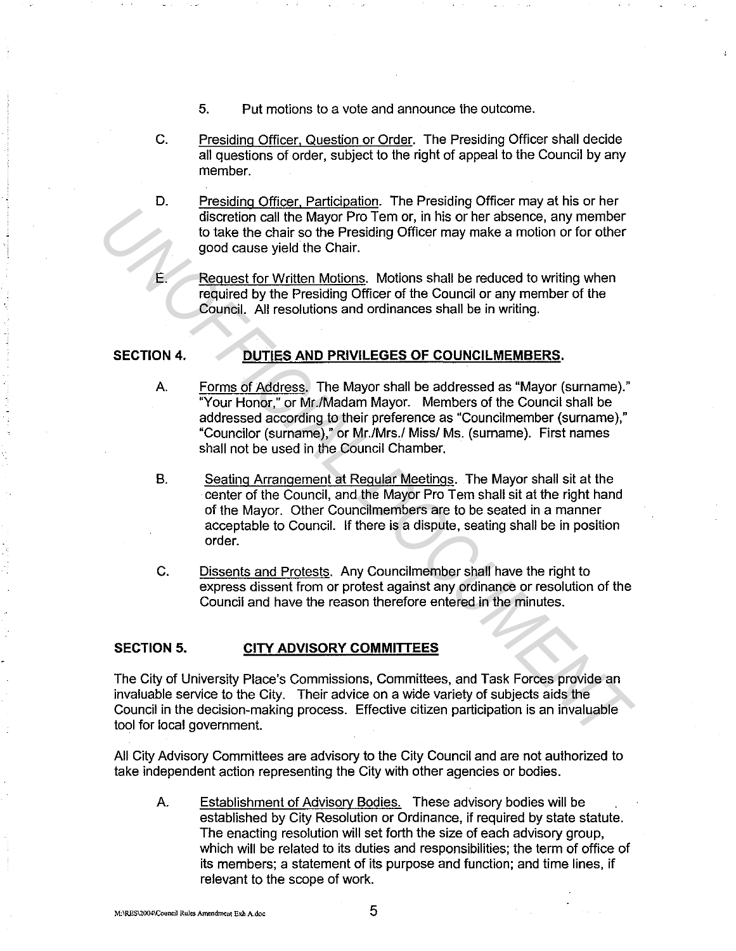- 5. Put motions to a vote and announce the outcome.
- C. Presiding Officer, Question or Order. The Presiding Officer shall decide all questions of order, subject to the right of appeal to the Council by any member.
- D. Presiding Officer. Participation. The Presiding Officer may at his or her discretion call the Mayor Pro Tem or, in his or her absence, any member to take the chair so the Presiding Officer may make a motion or for other good cause yield the Chair.
	- Request for Written Motions. Motions shall be reduced to writing when required by the Presiding Officer of the Council or any member of the Council. All resolutions and ordinances shall be in writing.

# **SECTION 4. DUTIES AND PRIVILEGES OF COUNCILMEMBERS.**

- A. Forms of Address. The Mayor shall be addressed as "Mayor (surname)." "Your Honor," or Mr./Madam Mayor. Members of the Council shall be addressed according to their preference as "Councilmember (surname)," "Councilor (surname)," or Mr./Mrs./ Miss/ Ms. (surname). First names shall not be used in the Council Chamber. **UNITEENTIATE CONSULTER THE CONDUCT CONSULTER THE CONDUCT CONDUCT CONDUCT CONDUCT CONDUCT CONDUCT CONDUCT CONDUCT CONDUCT CONDUCT CONDUCT CONDUCT CONDUCT CONDUCT CONDUCT CONDUCT CONDUCT CONDUCT CONDUCT CONDUCT CONDUCT COND** 
	- B. Seating Arrangement at Regular Meetings. The Mayor shall sit at the center of the Council, and the Mayor Pro Tern shall sit at the right hand of the Mayor. Other Councilmembers are to be seated in a manner acceptable to Council. If there is a dispute, seating shall be in position order.
	- C. Dissents and Protests. Any Councilmember shall have the right to express dissent from or protest against any ordinance or resolution of the Council and have the reason therefore entered in the minutes.

#### **SECTION 5. CITY ADVISORY COMMITTEES**

The City of University Place's Commissions, Committees, and Task Forces provide an invaluable service to the City. Their advice on a wide variety of subjects aids the Council in the decision-making process. Effective citizen participation is an invaluable tool for local government.

All City Advisory Committees are advisory to the City Council and are not authorized to take independent action representing the City with other agencies or bodies.

A. Establishment of Advisory Bodies. These advisory bodies will be established by City Resolution or Ordinance, if required by state statute. The enacting resolution will set forth the size of each advisory group, which will be related to its duties and responsibilities; the term of office of its members; a statement of its purpose and function; and time lines, if relevant to the scope of work.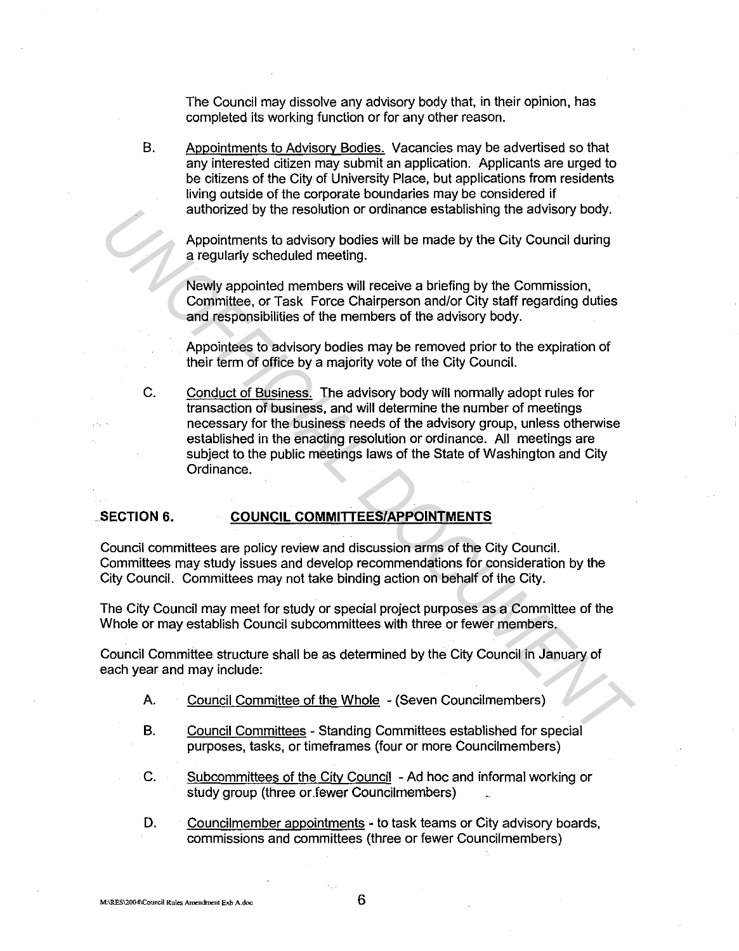The Council may dissolve any advisory body that, in their opinion, has completed its working function or for any other reason.

B. Appointments to Advisorv Bodies. Vacancies may be advertised so that any interested citizen may submit an application. Applicants are urged to be citizens of the City of University Place, but applications from residents living outside of the corporate boundaries may be considered if authorized by the resolution or ordinance establishing the advisory body.

Appointments to advisory bodies will be made by the City Council during a regularly scheduled meeting.

Newly appointed members will receive a briefing by the Commission, Committee, or Task Force Chairperson and/or City staff regarding duties and responsibilities of the members of the advisory body.

Appointees to advisory bodies may be removed prior to the expiration of their term of office by a majority *vote* of the City Council.

C. Conduct of Business. The advisory body will normally adopt rules for transaction of business, and will determine the number of meetings necessary for the business needs of the advisory group, unless otherwise established in the enacting resolution or ordinance. All meetings are subject to the public meetings laws of the State of Washington and City Ordinance. authonzed by the resolution or ordinance establishing the advisory body.<br>Appointments to advisory bodds will be made by the City Council during<br>a regularly scheduled meeting.<br>Newly appointed members will receive a briefing

# **SECTION 6. COUNCIL COMMITTEES/APPOINTMENTS**

Council committees are policy review and discussion arms of the City Council. Committees may study issues and develop recommendations for consideration by the City Council. Committees may not take binding action on behalf of the City.

The City Council may meet for study or special project purposes as a Committee of the Whole or may establish Council subcommittees with three or fewer members.

Council Committee structure shall be as determined by the City Council in January of each year and may include:

- A. Council Committee of the Whole (Seven Councilmembers)
- B. Council Committees Standing Committees established for special purposes, tasks, or timeframes (four or more Councilmembers)
- C. Subcommittees of the City Council Ad hoc and informal working or study group (three or.fewer Councilmembers)
- D. Councilmember appointments to task teams or City advisory boards, commissions and committees (three or fewer Councilmembers)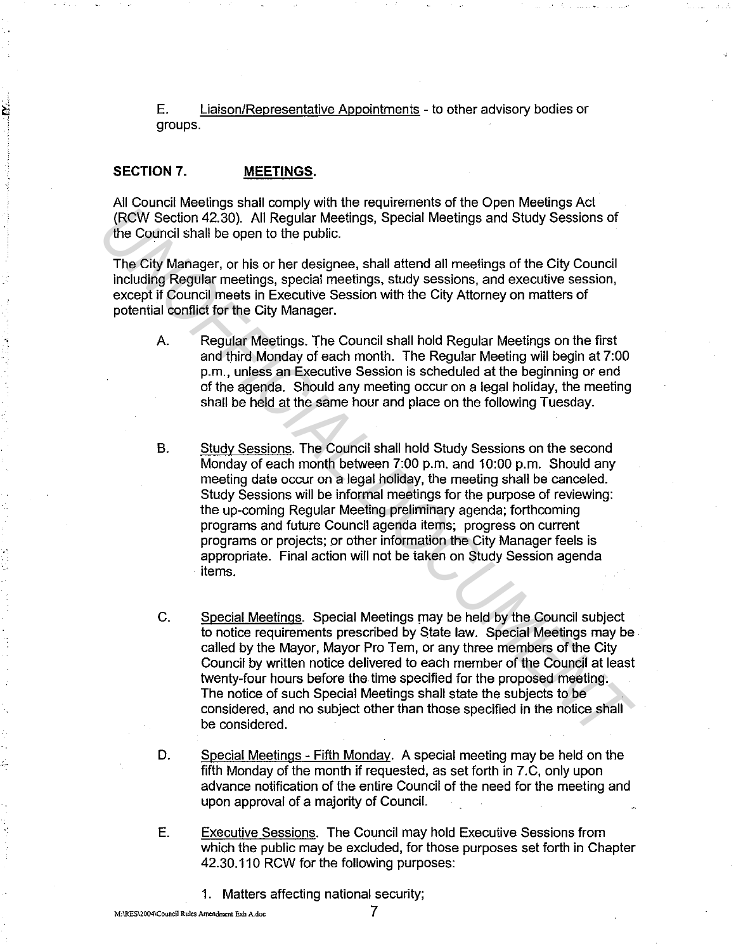E. Liaison/Representative Appointments - to other advisory bodies or groups.

## SECTION 7. MEETINGS.

All Council Meetings shall comply with the requirements of the Open Meetings Act (RCW Section 42.30). All Regular Meetings, Special Meetings and Study Sessions of the Council shall be open to the public.

The City Manager, or his or her designee, shall attend all meetings of the City Council including Regular meetings, special meetings, study sessions, and executive session, except if Council meets in Executive Session with the City Attorney on matters of potential conflict for the City Manager.

- A. Regular Meetings. The Council shall hold Regular Meetings on the first and third Monday of each month. The Regular Meeting will begin at 7:00 p.m., unless an Executive Session is scheduled at the beginning or end of the agenda. Should any meeting occur on a legal holiday, the meeting shall be held at the same hour and place on the following Tuesday.
- B. Study Sessions. The Council shall hold Study Sessions on the second Monday of each month between 7:00 p.m. and 10:00 p.m. Should any meeting date occur on a legal holiday, the meeting shall be canceled. Study Sessions will be informal meetings for the purpose of reviewing: the up-coming Regular Meeting preliminary agenda; forthcoming programs and future Council agenda items; progress on current programs or projects; or other information the City Manager feels is appropriate. Final action will not be taken on Study Session agenda items. *INCON* Section 42.30). All Regular Meetings, Special Meetings and Study Sessions of<br>
TRCW Section 42.30). All Regular Meetings, Special Meetings and Study Sessions<br>
The City Marager, or his or her designee, shall attend a
	- C. Special Meetings. Special Meetings may be held by the Council subject to notice requirements prescribed by State law. Special Meetings may be called by the Mayor, Mayor Pro Tem, or any three members of the City Council by written notice delivered to each member of the Council at least twenty-four hours before the time specified for the proposed meeting. The notice of such Special Meetings shall state the subjects to be considered, and no subject other than those specified in the notice shall be considered.
	- D. Special Meetings - Fifth Monday. A special meeting may be held on the fifth Monday of the month if requested, as set forth in 7.C, only upon advance notification of the entire Council of the need for the meeting and upon approval of a majority of Council.
	- E. Executive Sessions. The Council may hold Executive Sessions from which the public may be excluded, for those purposes set forth in Chapter 42.30.110 RCW for the following purposes:
		- 1. Matters affecting national security;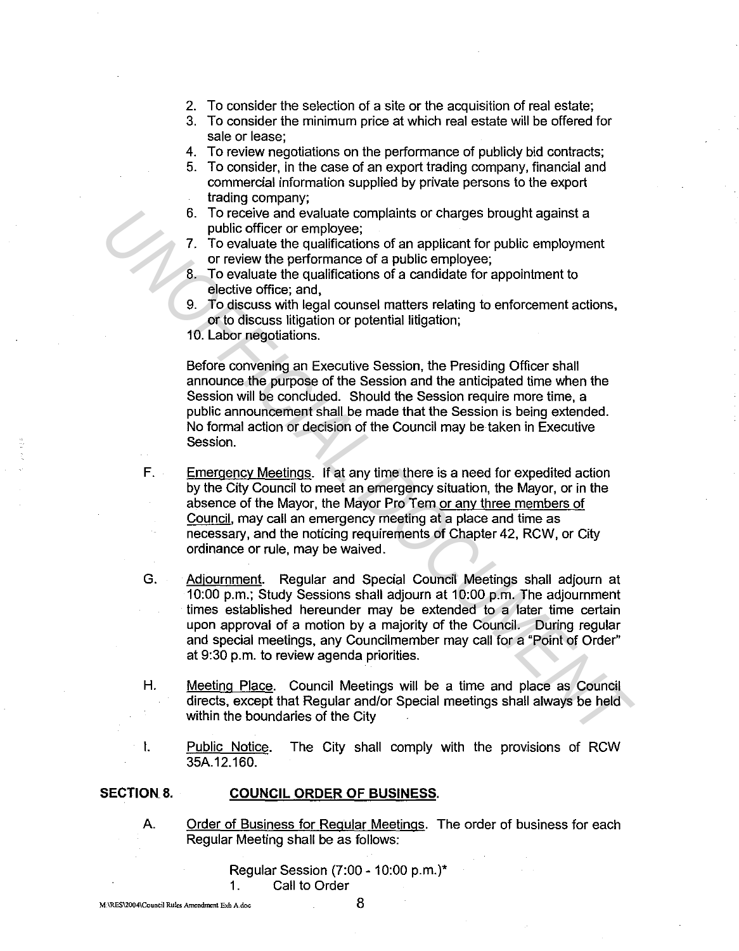- 2. To consider the selection of a site or the acquisition of real estate;
- 3. To consider the minimum price at which real estate will be offered for sale or lease;
- 4. To review negotiations on the performance of publicly bid contracts;
- 5. To consider, in the case of an export trading company, financial and commercial information supplied by private persons to the export trading company;
- 6. To receive and evaluate complaints or charges brought against a public officer or employee;
- 7. To evaluate the qualifications of an applicant for public employment or review the performance of a public employee;
- 8. To evaluate the qualifications of a candidate for appointment to elective office; and,
- 9. To discuss with legal counsel matters relating to enforcement actions, or to discuss litigation or potential litigation;
- 10. Labor negotiations.

Before convening an Executive Session, the Presiding Officer shall announce the purpose of the Session and the anticipated time when the Session will be concluded. Should the Session require more time, a public announcement shall be made that the Session is being extended. No formal action or decision of the Council may be taken in Executive Session.

- F. Emergency Meetings. If at any time there is a need for expedited action by the City Council to meet an emergency situation, the Mayor, or in the absence of the Mayor, the Mayor Pro Tem or any three members of Council, may call an emergency meeting at a place and time as necessary, and the noticing requirements of Chapter 42, RCW, or City ordinance or rule, may be waived.
- G. Adjournment. Regular and Special Council Meetings shall adjourn at 10:00 p.m.; Study Sessions shall adjourn at 10:00 p.m. The adjournment times established hereunder may be extended to a later time certain upon approval of a motion by a majority of the Council. During regular and special meetings, any Councilmember may call for a "Point of Order" at 9:30 p.m. to review agenda priorities. 6. To receive and evaluate complaints or charges brought against a<br>
7. To evaluate the qualifications of an applicant for public employment<br>
7. To evaluate the qualifications of a applicant for public employment<br>
8. To ev
	- H. Meeting Place. Council Meetings will be a time and place as Council directs, except that Regular and/or Special meetings shall always be held within the boundaries of the City
	- I. Public Notice. The City shall comply with the provisions of RCW 35A.12.160.

### SECTION 8. COUNCIL ORDER OF BUSINESS.

A. Order of Business for Regular Meetings. The order of business for each Regular Meeting shall be as follows:

> Regular Session (7:00 - 10:00 p.m.)\* 1. Call to Order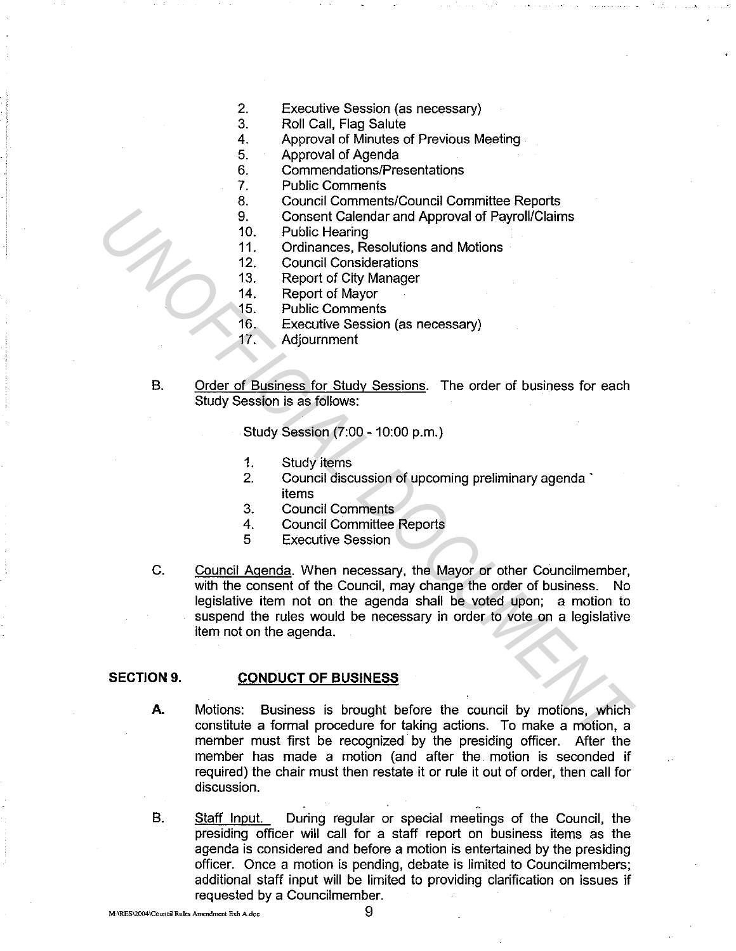- 2. Executive Session (as necessary)
- 3. Roll Call, Flag Salute
- 4. Approval of Minutes of Previous Meeting
- 5. Approval of Agenda
	- 6. Commendations/Presentations
	- 7. Public Comments
	- 8. Council Comments/Council Committee Reports
	- 9. Consent Calendar and Approval of Payroll/Claims
	- 10. Public Hearing
	- 11. Ordinances, Resolutions and Motions
	- 12. Council Considerations
	- 13. Report of City Manager
	- 14. Report of Mayor
	- 15. Public Comments
	- 16. Executive Session (as necessary)
	- 17. Adjournment
- B. Order of Business for Study Sessions. The order of business for each Study Session is as follows:

Study Session (7:00 - 10:00 p.m.)

- 1. Study items
- 2. Council discussion of upcoming preliminary agenda · items
- 3. Council Comments
- 4. Council Committee Reports
- 5 Executive Session
- C. Council Agenda. When necessary, the Mayor or other Councilmember, with the consent of the Council, may change the order of business. No legislative item not on the agenda shall be voted upon; a motion to suspend the rules would be necessary in order to vote on a legislative item not on the agenda. 9. Connect Calendar and Approval of Payroll/Claims<br>
10. Public Hearing<br>
11. Ordinances, Resolutions and Motions<br>
11. Ordinances, Resolutions and Motions<br>
12. Council Considerations<br>
13. Report of City Manager<br>
15. Public C

# **SECTION 9. CONDUCT OF BUSINESS**

- **A.** Motions: Business is brought before the council by motions, which constitute a formal procedure for taking actions. To make a motion, a member must first be recognized by the presiding officer. After the member has made a motion (and after the motion is seconded if required) the chair must then restate it or rule it out of order, then call for discussion.
- B. Staff Input. During regular or special meetings of the Council, the presiding officer will call for a staff report on business items as the agenda is considered and before a motion is entertained by the presiding officer. Once a motion is pending, debate is limited to Councilmembers; additional staff input will be limited to providing clarification on issues if requested by a Councilmember.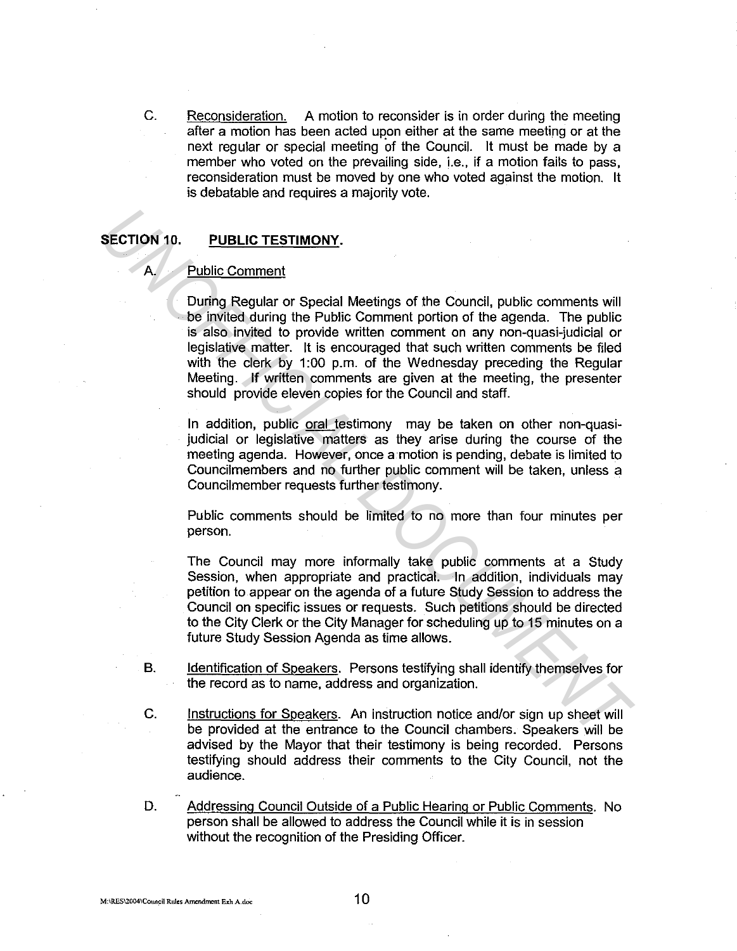C. Reconsideration. A motion to reconsider is in order during the meeting after a motion has been acted upon either at the same meeting or at the next regular or special meeting of the Council. It must be made by a member who voted on the prevailing side, i.e., if a motion fails to pass, reconsideration must be moved by one who voted against the motion. It is debatable and requires a majority vote.

## **SECTION 10. PUBLIC TESTIMONY.**

### A. Public Comment

During Regular or Special Meetings of the Council, public comments will be invited during the Public Comment portion of the agenda. The public is also invited to provide written comment on any non-quasi-judicial or legislative matter. It is encouraged that such written comments be filed with the clerk by 1:00 p.m. of the Wednesday preceding the Regular Meeting. If written comments are given at the meeting, the presenter should provide eleven copies for the Council and staff. **ECTION 10. PUBLIC TESTIMONY.**<br> **During Requier or Special Mestings of the Council, public comments will be invited during the Public Comment portion of the agenda. The public salso invited to provide written comment on** 

In addition, public oral testimony may be taken on other non-quasijudicial or legislative matters as they arise during the course of the meeting agenda. However, once a motion is pending, debate is limited to Councilmembers and no further public comment will be taken, unless a Councilmember requests further testimony.

Public comments should be limited to no more than four minutes per person.

The Council may more informally take public comments at a Study Session, when appropriate and practical. In addition, individuals may petition to appear on the agenda of a future Study Session to address the Council on specific issues or requests. Such petitions should be directed to the City Clerk or the City Manager for scheduling up to 15 minutes on a future Study Session Agenda as time allows.

- B. Identification of Speakers. Persons testifying shall identify themselves for the record as to name, address and organization.
- C. Instructions for Speakers. An instruction notice and/or sign up sheet will be provided at the entrance to the Council chambers. Speakers will be advised by the Mayor that their testimony is being recorded. Persons testifying should address their comments to the City Council, not the audience.
- D. Addressing Council Outside of a Public Hearing or Public Comments. No person shall be allowed to address the Council while it is in session without the recognition of the Presiding Officer.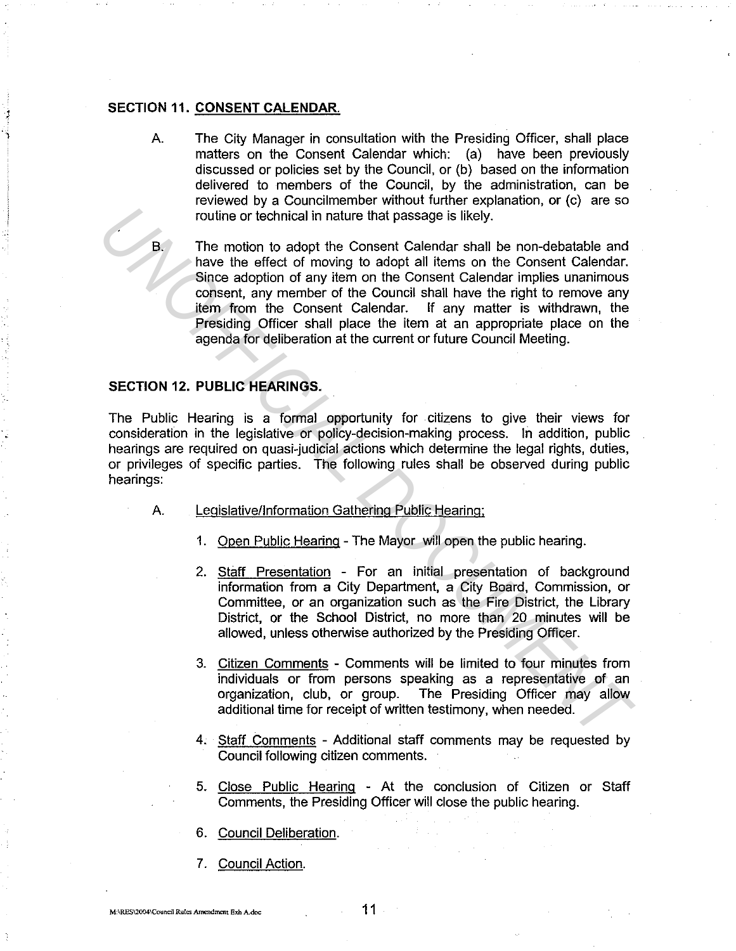### SECTION 11. CONSENT CALENDAR.

A. The City Manager in consultation with the Presiding Officer, shall place matters on the Consent Calendar which: (a) have been previously discussed or policies set by the Council, or (b) based on the information delivered to members of the Council, by the administration, can be reviewed by a Councilmember without further explanation, or (c) are so routine or technical in nature that passage is likely.

The motion to adopt the Consent Calendar shall be non-debatable and have the effect of moving to adopt all items on the Consent Calendar. Since adoption of any item on the Consent Calendar implies unanimous consent, any member of the Council shall have the right to remove any item from the Consent Calendar. If any matter is withdrawn, the Presiding Officer shall place the item at an appropriate place on the agenda for deliberation at the current or future Council Meeting. From the method of the Consert Calendria rate of the Pistolic and the Material of the Material Denomination of the Conservation of the Conservation of the Conservation of the Conservation of the Conservation of the Conserv

### SECTION 12. PUBLIC HEARINGS.

The Public Hearing is a formal opportunity for citizens to give their views for consideration in the legislative or policy-decision-making process. In addition, public hearings are required on quasi-judicial actions which determine the legal rights, duties, or privileges of specific parties. The following rules shall be observed during public hearings:

- A. Legislative/Information Gathering Public Hearing;
	- 1. Open Public Hearing The Mayor will open the public hearing.
	- 2. Staff Presentation For an initial presentation of background information from a City Department, a City Board, Commission, or Committee, or an organization such as the Fire District, the Library District, or the School District, no more than 20 minutes will be allowed, unless otherwise authorized by the Presiding Officer.
	- 3. Citizen Comments Comments will be limited to four minutes from individuals or from persons speaking as a representative of an organization, club, or group. The Presiding Officer may allow additional time for receipt of written testimony, when needed.
	- 4. Staff Comments Additional staff comments may be requested by Council following citizen comments.
	- 5. Close Public Hearing At the conclusion of Citizen or Staff Comments, the Presiding Officer will close the public hearing.
	- 6. Council Deliberation.
	- 7. Council Action.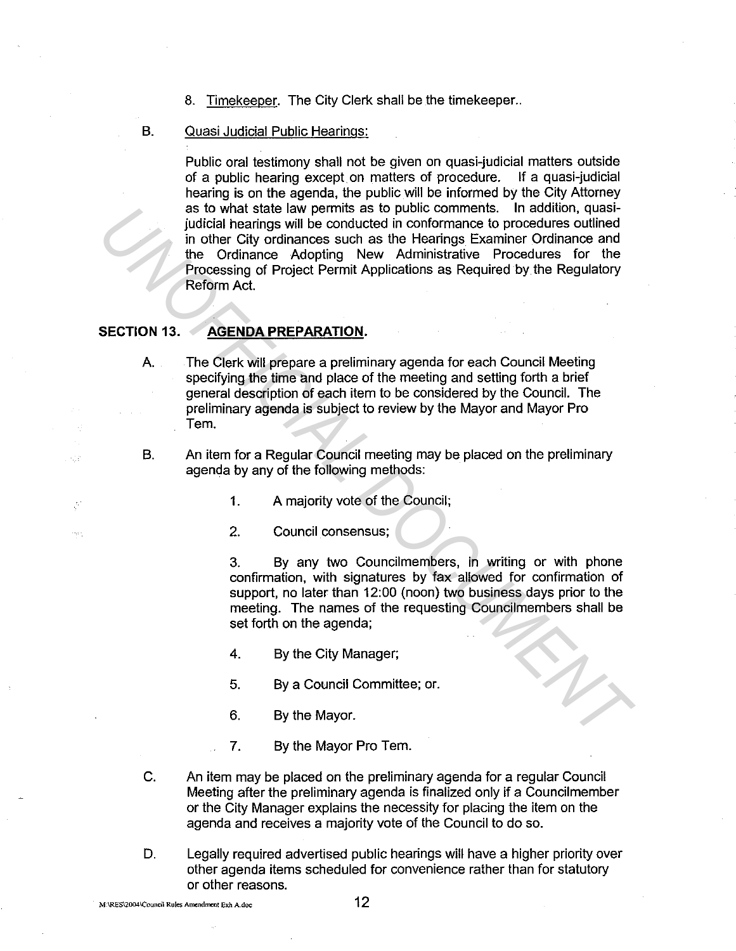8. Timekeeper. The City Clerk shall be the timekeeper..

### B. Quasi Judicial Public Hearings:

Public oral testimony shall not be given on quasi-judicial matters outside of a public hearing except on matters of procedure. If a quasi-iudicial of a public hearing except on matters of procedure. hearing is on the agenda, the public will be informed by the City Attorney as to what state law permits as to public comments. In addition, quasijudicial hearings will be conducted in conformance to procedures outlined in other City ordinances such as the Hearings Examiner Ordinance and the Ordinance Adopting New Administrative Procedures for the Processing of Project Permit Applications as Required by the Regulatory Reform Act. as to what state law permits as to public comments. In addition, quast<br>
indicial hearings will be conducted in conformance to procedures outlined<br>
in the Civil ordinances such as the Hearings Examiner Ordinance and<br>
the Or

# **SECTION** 13. **AGENDA PREPARATION.**

 $\sim$  12

inga k

A. The Clerk will prepare a preliminary agenda for each Council Meeting specifying the time and place of the meeting and setting forth a brief general description of each item to be considered by the Council. The preliminary agenda is subject to review by the Mayor and Mayor Pro Tem.

- B. An item for a Regular Council meeting may be placed on the preliminary agenda by any of the following methods:
	- 1. A majority vote of the Council;
	- 2. Council consensus;

3. By any two Councilmembers, in writing or with phone confirmation, with signatures by fax allowed for confirmation of support, no later than 12:00 (noon) two business days prior to the meeting. The names of the requesting Councilmembers shall be set forth on the agenda;

- 4. By the City Manager;
- 5. By a Council Committee; or.
- 6. By the Mayor.
- 7. By the Mayor Pro Tem.
- C. An item may be placed on the preliminary agenda for a regular Council Meeting after the preliminary agenda is finalized only if a Council member or the City Manager explains the necessity for placing the item on the agenda and receives a majority vote of the Council to do so.
- D. Legally required advertised public hearings will have a higher priority over other agenda items scheduled for convenience rather than for statutory or other reasons.